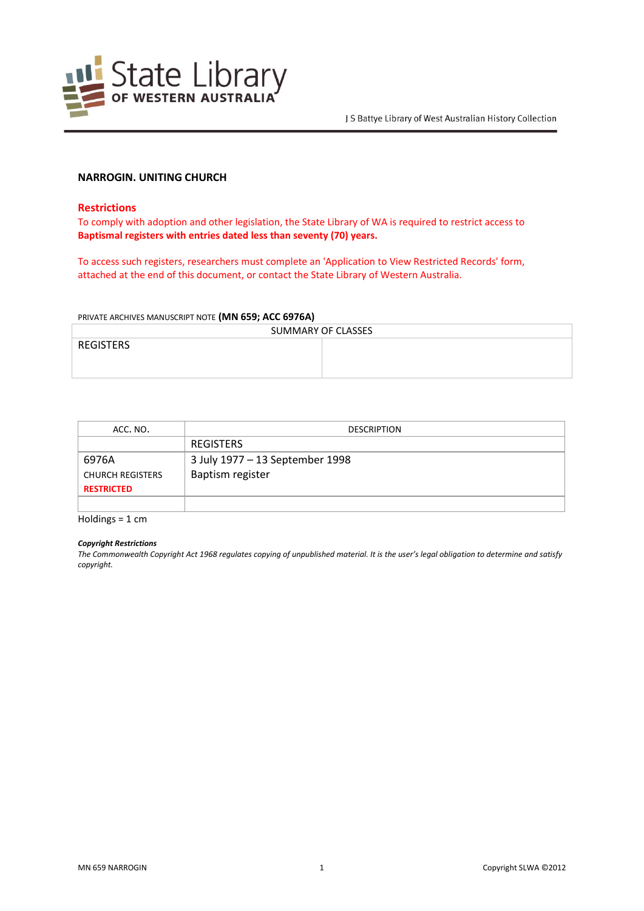

# **NARROGIN. UNITING CHURCH**

## **Restrictions**

To comply with adoption and other legislation, the State Library of WA is required to restrict access to **Baptismal registers with entries dated less than seventy (70) years.**

To access such registers, researchers must complete an 'Application to View Restricted Records' form, attached at the end of this document, or contact the State Library of Western Australia.

#### PRIVATE ARCHIVES MANUSCRIPT NOTE **(MN 659; ACC 6976A)**

| SUMMARY OF CLASSES |  |  |
|--------------------|--|--|
| REGISTERS          |  |  |
|                    |  |  |
|                    |  |  |

| ACC. NO.                | <b>DESCRIPTION</b>              |
|-------------------------|---------------------------------|
|                         | <b>REGISTERS</b>                |
| 6976A                   | 3 July 1977 - 13 September 1998 |
| <b>CHURCH REGISTERS</b> | Baptism register                |
| <b>RESTRICTED</b>       |                                 |
|                         |                                 |

Holdings = 1 cm

### *Copyright Restrictions*

*The Commonwealth Copyright Act 1968 regulates copying of unpublished material. It is the user's legal obligation to determine and satisfy copyright.*